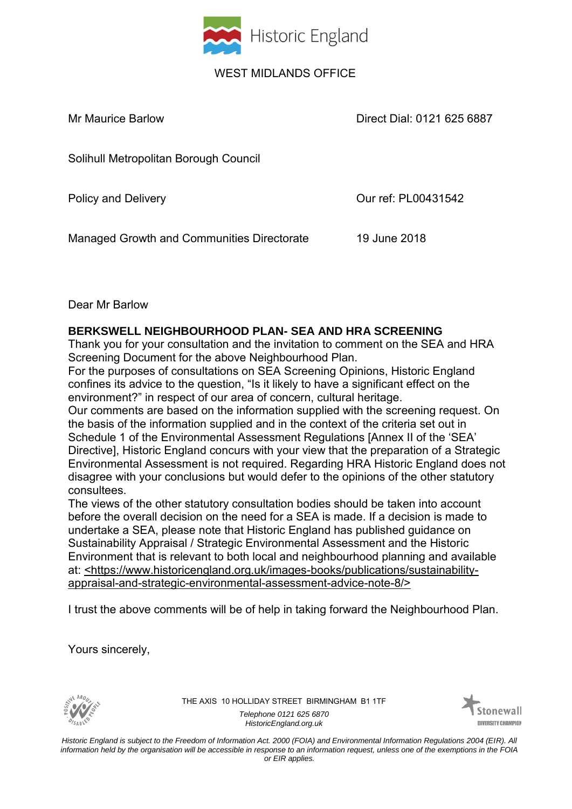

## WEST MIDLANDS OFFICE

Mr Maurice Barlow Direct Dial: 0121 625 6887

Solihull Metropolitan Borough Council

Policy and Delivery **Due 2018** Our ref: PL00431542

Managed Growth and Communities Directorate 19 June 2018

## Dear Mr Barlow

## **BERKSWELL NEIGHBOURHOOD PLAN- SEA AND HRA SCREENING**

Thank you for your consultation and the invitation to comment on the SEA and HRA Screening Document for the above Neighbourhood Plan.

For the purposes of consultations on SEA Screening Opinions, Historic England confines its advice to the question, "Is it likely to have a significant effect on the environment?" in respect of our area of concern, cultural heritage.

Our comments are based on the information supplied with the screening request. On the basis of the information supplied and in the context of the criteria set out in Schedule 1 of the Environmental Assessment Regulations [Annex II of the 'SEA' Directive], Historic England concurs with your view that the preparation of a Strategic Environmental Assessment is not required. Regarding HRA Historic England does not disagree with your conclusions but would defer to the opinions of the other statutory consultees.

The views of the other statutory consultation bodies should be taken into account before the overall decision on the need for a SEA is made. If a decision is made to undertake a SEA, please note that Historic England has published guidance on Sustainability Appraisal / Strategic Environmental Assessment and the Historic Environment that is relevant to both local and neighbourhood planning and available at: <https://www.historicengland.org.uk/images-books/publications/sustainabilityappraisal-and-strategic-environmental-assessment-advice-note-8/>

I trust the above comments will be of help in taking forward the Neighbourhood Plan.

Yours sincerely,



THE AXIS 10 HOLLIDAY STREET BIRMINGHAM B1 1TF *Telephone 0121 625 6870 HistoricEngland.org.uk*



*Historic England is subject to the Freedom of Information Act. 2000 (FOIA) and Environmental Information Regulations 2004 (EIR). All information held by the organisation will be accessible in response to an information request, unless one of the exemptions in the FOIA or EIR applies.*